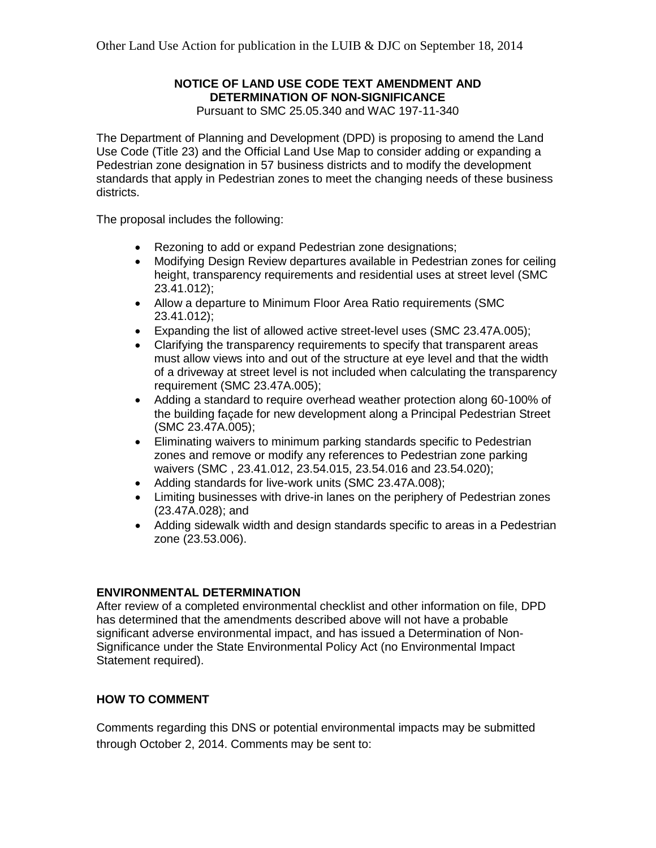# **NOTICE OF LAND USE CODE TEXT AMENDMENT AND DETERMINATION OF NON-SIGNIFICANCE**

Pursuant to SMC 25.05.340 and WAC 197-11-340

The Department of Planning and Development (DPD) is proposing to amend the Land Use Code (Title 23) and the Official Land Use Map to consider adding or expanding a Pedestrian zone designation in 57 business districts and to modify the development standards that apply in Pedestrian zones to meet the changing needs of these business districts.

The proposal includes the following:

- Rezoning to add or expand Pedestrian zone designations;
- Modifying Design Review departures available in Pedestrian zones for ceiling height, transparency requirements and residential uses at street level (SMC 23.41.012);
- Allow a departure to Minimum Floor Area Ratio requirements (SMC 23.41.012);
- Expanding the list of allowed active street-level uses (SMC 23.47A.005);
- Clarifying the transparency requirements to specify that transparent areas must allow views into and out of the structure at eye level and that the width of a driveway at street level is not included when calculating the transparency requirement (SMC 23.47A.005);
- Adding a standard to require overhead weather protection along 60-100% of the building façade for new development along a Principal Pedestrian Street (SMC 23.47A.005);
- Eliminating waivers to minimum parking standards specific to Pedestrian zones and remove or modify any references to Pedestrian zone parking waivers (SMC , 23.41.012, 23.54.015, 23.54.016 and 23.54.020);
- Adding standards for live-work units (SMC 23.47A.008);
- Limiting businesses with drive-in lanes on the periphery of Pedestrian zones (23.47A.028); and
- Adding sidewalk width and design standards specific to areas in a Pedestrian zone (23.53.006).

## **ENVIRONMENTAL DETERMINATION**

After review of a completed environmental checklist and other information on file, DPD has determined that the amendments described above will not have a probable significant adverse environmental impact, and has issued a Determination of Non-Significance under the State Environmental Policy Act (no Environmental Impact Statement required).

## **HOW TO COMMENT**

Comments regarding this DNS or potential environmental impacts may be submitted through October 2, 2014. Comments may be sent to: